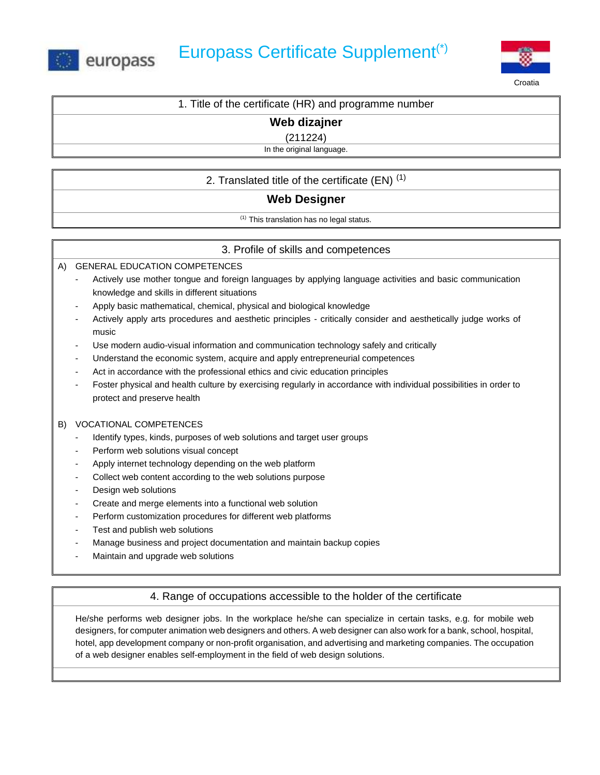



Croatia

| 1. Title of the certificate (HR) and programme number |  |  |
|-------------------------------------------------------|--|--|
| Web dizajner                                          |  |  |
| $\sim$ $\sim$ $\sim$ $\sim$ $\sim$ $\sim$             |  |  |

(211224)

In the original language.

## 2. Translated title of the certificate  $(EN)^{(1)}$

# **Web Designer**

(1) This translation has no legal status.

## 3. Profile of skills and competences

A) GENERAL EDUCATION COMPETENCES

- Actively use mother tongue and foreign languages by applying language activities and basic communication knowledge and skills in different situations
- Apply basic mathematical, chemical, physical and biological knowledge
- Actively apply arts procedures and aesthetic principles critically consider and aesthetically judge works of music
- Use modern audio-visual information and communication technology safely and critically
- Understand the economic system, acquire and apply entrepreneurial competences
- Act in accordance with the professional ethics and civic education principles
- Foster physical and health culture by exercising regularly in accordance with individual possibilities in order to protect and preserve health

#### B) VOCATIONAL COMPETENCES

- Identify types, kinds, purposes of web solutions and target user groups
- Perform web solutions visual concept
- Apply internet technology depending on the web platform
- Collect web content according to the web solutions purpose
- Design web solutions
- Create and merge elements into a functional web solution
- Perform customization procedures for different web platforms
- Test and publish web solutions
- Manage business and project documentation and maintain backup copies
- Maintain and upgrade web solutions

## 4. Range of occupations accessible to the holder of the certificate

He/she performs web designer jobs. In the workplace he/she can specialize in certain tasks, e.g. for mobile web designers, for computer animation web designers and others. A web designer can also work for a bank, school, hospital, hotel, app development company or non-profit organisation, and advertising and marketing companies. The occupation of a web designer enables self-employment in the field of web design solutions.